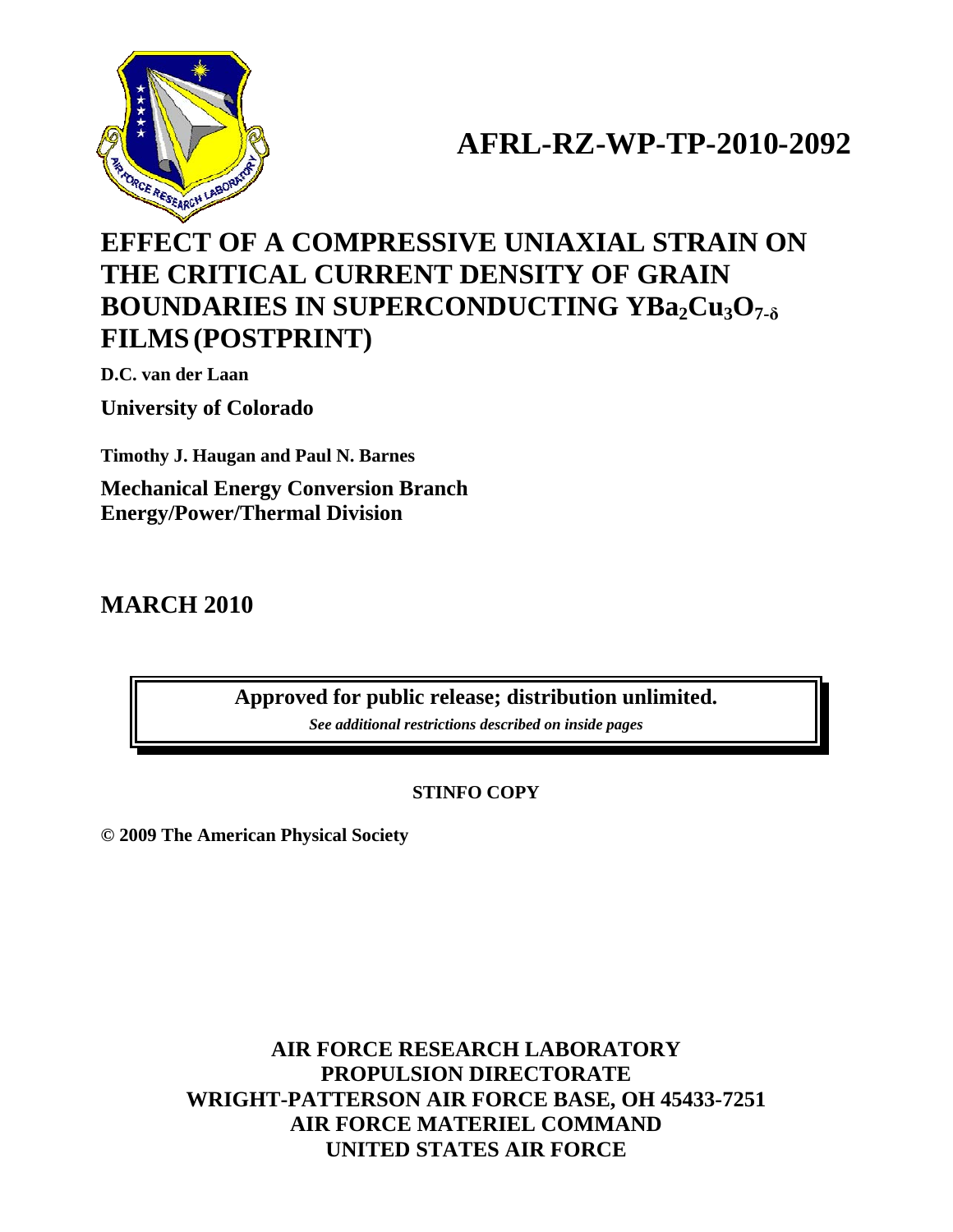

## **AFRL-RZ-WP-TP-2010-2092**

## **EFFECT OF A COMPRESSIVE UNIAXIAL STRAIN ON THE CRITICAL CURRENT DENSITY OF GRAIN BOUNDARIES IN SUPERCONDUCTING YBa<sub>2</sub>Cu<sub>3</sub>O<sub>7-δ</sub> FILMS (POSTPRINT)**

**D.C. van der Laan** 

**University of Colorado** 

**Timothy J. Haugan and Paul N. Barnes** 

**Mechanical Energy Conversion Branch Energy/Power/Thermal Division** 

**MARCH 2010** 

**Approved for public release; distribution unlimited.** 

*See additional restrictions described on inside pages*

## **STINFO COPY**

**© 2009 The American Physical Society** 

**AIR FORCE RESEARCH LABORATORY PROPULSION DIRECTORATE WRIGHT-PATTERSON AIR FORCE BASE, OH 45433-7251 AIR FORCE MATERIEL COMMAND UNITED STATES AIR FORCE**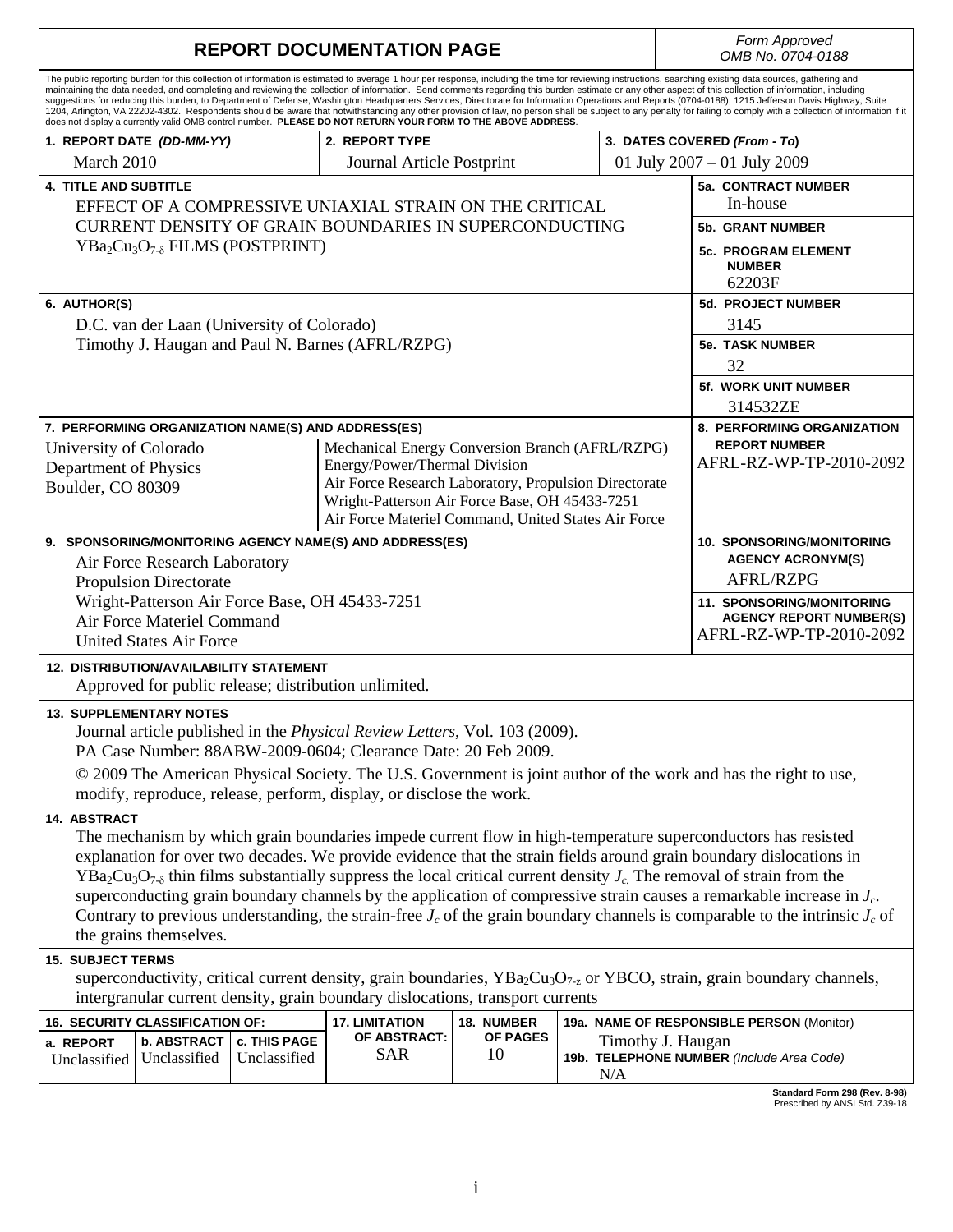| <b>REPORT DOCUMENTATION PAGE</b>                                                                                                                                                                                                                                                                                                                                                |                                                               |                                                |                                                                                                             |                                                 |                          |                              | Form Approved<br>OMB No. 0704-0188                                                                                                                                                                                                                                                                                                                                                                                                                                                                                                                                                                                                                                                                                                                                                                                                                  |  |  |
|---------------------------------------------------------------------------------------------------------------------------------------------------------------------------------------------------------------------------------------------------------------------------------------------------------------------------------------------------------------------------------|---------------------------------------------------------------|------------------------------------------------|-------------------------------------------------------------------------------------------------------------|-------------------------------------------------|--------------------------|------------------------------|-----------------------------------------------------------------------------------------------------------------------------------------------------------------------------------------------------------------------------------------------------------------------------------------------------------------------------------------------------------------------------------------------------------------------------------------------------------------------------------------------------------------------------------------------------------------------------------------------------------------------------------------------------------------------------------------------------------------------------------------------------------------------------------------------------------------------------------------------------|--|--|
|                                                                                                                                                                                                                                                                                                                                                                                 |                                                               |                                                | does not display a currently valid OMB control number. PLEASE DO NOT RETURN YOUR FORM TO THE ABOVE ADDRESS. |                                                 |                          |                              | The public reporting burden for this collection of information is estimated to average 1 hour per response, including the time for reviewing instructions, searching existing data sources, gathering and<br>maintaining the data needed, and completing and reviewing the collection of information. Send comments regarding this burden estimate or any other aspect of this collection of information, including<br>suggestions for reducing this burden, to Department of Defense, Washington Headquarters Services, Directorate for Information Operations and Reports (0704-0188), 1215 Jefferson Davis Highway, Suite<br>1204, Arlington, VA 22202-4302. Respondents should be aware that notwithstanding any other provision of law, no person shall be subject to any penalty for failing to comply with a collection of information if it |  |  |
|                                                                                                                                                                                                                                                                                                                                                                                 | 1. REPORT DATE (DD-MM-YY)<br>2. REPORT TYPE                   |                                                |                                                                                                             |                                                 |                          | 3. DATES COVERED (From - To) |                                                                                                                                                                                                                                                                                                                                                                                                                                                                                                                                                                                                                                                                                                                                                                                                                                                     |  |  |
|                                                                                                                                                                                                                                                                                                                                                                                 | March 2010<br>Journal Article Postprint                       |                                                |                                                                                                             |                                                 |                          |                              | 01 July 2007 - 01 July 2009                                                                                                                                                                                                                                                                                                                                                                                                                                                                                                                                                                                                                                                                                                                                                                                                                         |  |  |
| <b>4. TITLE AND SUBTITLE</b><br>EFFECT OF A COMPRESSIVE UNIAXIAL STRAIN ON THE CRITICAL                                                                                                                                                                                                                                                                                         |                                                               |                                                |                                                                                                             |                                                 |                          |                              | <b>5a. CONTRACT NUMBER</b><br>In-house                                                                                                                                                                                                                                                                                                                                                                                                                                                                                                                                                                                                                                                                                                                                                                                                              |  |  |
|                                                                                                                                                                                                                                                                                                                                                                                 | <b>CURRENT DENSITY OF GRAIN BOUNDARIES IN SUPERCONDUCTING</b> |                                                | <b>5b. GRANT NUMBER</b>                                                                                     |                                                 |                          |                              |                                                                                                                                                                                                                                                                                                                                                                                                                                                                                                                                                                                                                                                                                                                                                                                                                                                     |  |  |
| $YBa2Cu3O7-δ FILMS (POSTPRINT)$                                                                                                                                                                                                                                                                                                                                                 |                                                               |                                                |                                                                                                             |                                                 |                          |                              | <b>5c. PROGRAM ELEMENT</b><br><b>NUMBER</b><br>62203F                                                                                                                                                                                                                                                                                                                                                                                                                                                                                                                                                                                                                                                                                                                                                                                               |  |  |
| 6. AUTHOR(S)                                                                                                                                                                                                                                                                                                                                                                    |                                                               |                                                |                                                                                                             |                                                 |                          |                              | 5d. PROJECT NUMBER                                                                                                                                                                                                                                                                                                                                                                                                                                                                                                                                                                                                                                                                                                                                                                                                                                  |  |  |
| D.C. van der Laan (University of Colorado)                                                                                                                                                                                                                                                                                                                                      |                                                               |                                                |                                                                                                             |                                                 |                          |                              | 3145                                                                                                                                                                                                                                                                                                                                                                                                                                                                                                                                                                                                                                                                                                                                                                                                                                                |  |  |
| Timothy J. Haugan and Paul N. Barnes (AFRL/RZPG)                                                                                                                                                                                                                                                                                                                                |                                                               |                                                |                                                                                                             |                                                 |                          |                              | <b>5e. TASK NUMBER</b>                                                                                                                                                                                                                                                                                                                                                                                                                                                                                                                                                                                                                                                                                                                                                                                                                              |  |  |
|                                                                                                                                                                                                                                                                                                                                                                                 |                                                               |                                                |                                                                                                             |                                                 |                          |                              | 32                                                                                                                                                                                                                                                                                                                                                                                                                                                                                                                                                                                                                                                                                                                                                                                                                                                  |  |  |
|                                                                                                                                                                                                                                                                                                                                                                                 |                                                               |                                                |                                                                                                             |                                                 |                          |                              | <b>5f. WORK UNIT NUMBER</b><br>314532ZE                                                                                                                                                                                                                                                                                                                                                                                                                                                                                                                                                                                                                                                                                                                                                                                                             |  |  |
|                                                                                                                                                                                                                                                                                                                                                                                 |                                                               |                                                | 7. PERFORMING ORGANIZATION NAME(S) AND ADDRESS(ES)                                                          |                                                 |                          |                              | 8. PERFORMING ORGANIZATION                                                                                                                                                                                                                                                                                                                                                                                                                                                                                                                                                                                                                                                                                                                                                                                                                          |  |  |
| University of Colorado                                                                                                                                                                                                                                                                                                                                                          |                                                               |                                                |                                                                                                             | Mechanical Energy Conversion Branch (AFRL/RZPG) |                          |                              | <b>REPORT NUMBER</b>                                                                                                                                                                                                                                                                                                                                                                                                                                                                                                                                                                                                                                                                                                                                                                                                                                |  |  |
| Department of Physics                                                                                                                                                                                                                                                                                                                                                           |                                                               |                                                | Energy/Power/Thermal Division                                                                               |                                                 |                          |                              | AFRL-RZ-WP-TP-2010-2092                                                                                                                                                                                                                                                                                                                                                                                                                                                                                                                                                                                                                                                                                                                                                                                                                             |  |  |
| Air Force Research Laboratory, Propulsion Directorate<br>Boulder, CO 80309<br>Wright-Patterson Air Force Base, OH 45433-7251<br>Air Force Materiel Command, United States Air Force                                                                                                                                                                                             |                                                               |                                                |                                                                                                             |                                                 |                          |                              |                                                                                                                                                                                                                                                                                                                                                                                                                                                                                                                                                                                                                                                                                                                                                                                                                                                     |  |  |
|                                                                                                                                                                                                                                                                                                                                                                                 |                                                               |                                                | 9. SPONSORING/MONITORING AGENCY NAME(S) AND ADDRESS(ES)                                                     |                                                 |                          |                              | <b>10. SPONSORING/MONITORING</b>                                                                                                                                                                                                                                                                                                                                                                                                                                                                                                                                                                                                                                                                                                                                                                                                                    |  |  |
| Air Force Research Laboratory                                                                                                                                                                                                                                                                                                                                                   |                                                               |                                                |                                                                                                             |                                                 |                          |                              | <b>AGENCY ACRONYM(S)</b>                                                                                                                                                                                                                                                                                                                                                                                                                                                                                                                                                                                                                                                                                                                                                                                                                            |  |  |
| <b>Propulsion Directorate</b>                                                                                                                                                                                                                                                                                                                                                   |                                                               |                                                |                                                                                                             |                                                 |                          |                              | AFRL/RZPG                                                                                                                                                                                                                                                                                                                                                                                                                                                                                                                                                                                                                                                                                                                                                                                                                                           |  |  |
| Wright-Patterson Air Force Base, OH 45433-7251<br>Air Force Materiel Command<br><b>United States Air Force</b>                                                                                                                                                                                                                                                                  |                                                               |                                                |                                                                                                             |                                                 |                          |                              | 11. SPONSORING/MONITORING<br><b>AGENCY REPORT NUMBER(S)</b><br>AFRL-RZ-WP-TP-2010-2092                                                                                                                                                                                                                                                                                                                                                                                                                                                                                                                                                                                                                                                                                                                                                              |  |  |
|                                                                                                                                                                                                                                                                                                                                                                                 |                                                               | <b>12. DISTRIBUTION/AVAILABILITY STATEMENT</b> |                                                                                                             |                                                 |                          |                              |                                                                                                                                                                                                                                                                                                                                                                                                                                                                                                                                                                                                                                                                                                                                                                                                                                                     |  |  |
|                                                                                                                                                                                                                                                                                                                                                                                 |                                                               |                                                | Approved for public release; distribution unlimited.                                                        |                                                 |                          |                              |                                                                                                                                                                                                                                                                                                                                                                                                                                                                                                                                                                                                                                                                                                                                                                                                                                                     |  |  |
| <b>13. SUPPLEMENTARY NOTES</b><br>Journal article published in the <i>Physical Review Letters</i> , Vol. 103 (2009).<br>PA Case Number: 88ABW-2009-0604; Clearance Date: 20 Feb 2009.<br>© 2009 The American Physical Society. The U.S. Government is joint author of the work and has the right to use,<br>modify, reproduce, release, perform, display, or disclose the work. |                                                               |                                                |                                                                                                             |                                                 |                          |                              |                                                                                                                                                                                                                                                                                                                                                                                                                                                                                                                                                                                                                                                                                                                                                                                                                                                     |  |  |
| 14. ABSTRACT                                                                                                                                                                                                                                                                                                                                                                    |                                                               |                                                |                                                                                                             |                                                 |                          |                              |                                                                                                                                                                                                                                                                                                                                                                                                                                                                                                                                                                                                                                                                                                                                                                                                                                                     |  |  |
|                                                                                                                                                                                                                                                                                                                                                                                 | the grains themselves.                                        |                                                |                                                                                                             |                                                 |                          |                              | The mechanism by which grain boundaries impede current flow in high-temperature superconductors has resisted<br>explanation for over two decades. We provide evidence that the strain fields around grain boundary dislocations in<br>$YBa_2Cu_3O_{7-\delta}$ thin films substantially suppress the local critical current density $J_c$ . The removal of strain from the<br>superconducting grain boundary channels by the application of compressive strain causes a remarkable increase in $J_c$ .<br>Contrary to previous understanding, the strain-free $J_c$ of the grain boundary channels is comparable to the intrinsic $J_c$ of                                                                                                                                                                                                           |  |  |
| <b>15. SUBJECT TERMS</b>                                                                                                                                                                                                                                                                                                                                                        |                                                               |                                                |                                                                                                             |                                                 |                          |                              |                                                                                                                                                                                                                                                                                                                                                                                                                                                                                                                                                                                                                                                                                                                                                                                                                                                     |  |  |
| superconductivity, critical current density, grain boundaries, $YBa_2Cu_3O_{7-z}$ or YBCO, strain, grain boundary channels,<br>intergranular current density, grain boundary dislocations, transport currents                                                                                                                                                                   |                                                               |                                                |                                                                                                             |                                                 |                          |                              |                                                                                                                                                                                                                                                                                                                                                                                                                                                                                                                                                                                                                                                                                                                                                                                                                                                     |  |  |
| 18. NUMBER<br><b>16. SECURITY CLASSIFICATION OF:</b><br><b>17. LIMITATION</b><br>19a. NAME OF RESPONSIBLE PERSON (Monitor)                                                                                                                                                                                                                                                      |                                                               |                                                |                                                                                                             |                                                 |                          |                              |                                                                                                                                                                                                                                                                                                                                                                                                                                                                                                                                                                                                                                                                                                                                                                                                                                                     |  |  |
| a. REPORT<br>Unclassified                                                                                                                                                                                                                                                                                                                                                       | <b>b. ABSTRACT</b><br>Unclassified                            | c. THIS PAGE<br>Unclassified                   | OF ABSTRACT:<br><b>SAR</b>                                                                                  | <b>OF PAGES</b><br>10                           | Timothy J. Haugan<br>N/A |                              | 19b. TELEPHONE NUMBER (Include Area Code)                                                                                                                                                                                                                                                                                                                                                                                                                                                                                                                                                                                                                                                                                                                                                                                                           |  |  |

**Standard Form 298 (Rev. 8-98)**  Prescribed by ANSI Std. Z39-18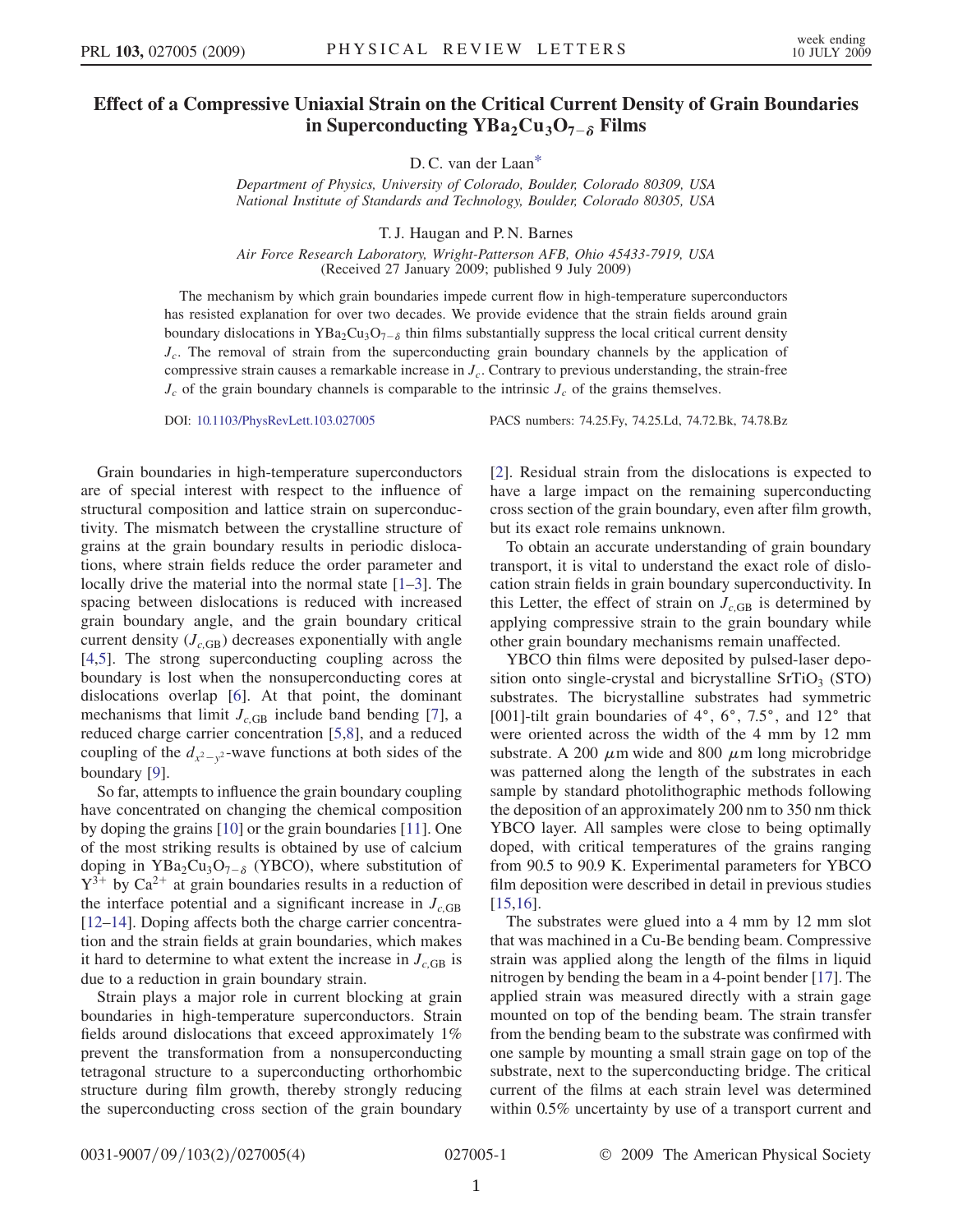## <span id="page-2-0"></span>Effect of a Compressive Uniaxial Strain on the Critical Current Density of Grain Boundaries in Superconducting  $YBa_2Cu_3O_{7-\delta}$  Films

D. C. van der Laa[n\\*](#page-5-0)

Department of Physics, University of Colorado, Boulder, Colorado 80309, USA National Institute of Standards and Technology, Boulder, Colorado 80305, USA

T. J. Haugan and P. N. Barnes

Air Force Research Laboratory, Wright-Patterson AFB, Ohio 45433-7919, USA (Received 27 January 2009; published 9 July 2009)

The mechanism by which grain boundaries impede current flow in high-temperature superconductors has resisted explanation for over two decades. We provide evidence that the strain fields around grain boundary dislocations in  $YBa_2Cu_3O_{7-\delta}$  thin films substantially suppress the local critical current density  $J_c$ . The removal of strain from the superconducting grain boundary channels by the application of compressive strain causes a remarkable increase in  $J_c$ . Contrary to previous understanding, the strain-free  $J_c$  of the grain boundary channels is comparable to the intrinsic  $J_c$  of the grains themselves.

DOI: [10.1103/PhysRevLett.103.027005](http://dx.doi.org/10.1103/PhysRevLett.103.027005) PACS numbers: 74.25.Fy, 74.25.Ld, 74.72.Bk, 74.78.Bz

Grain boundaries in high-temperature superconductors are of special interest with respect to the influence of structural composition and lattice strain on superconductivity. The mismatch between the crystalline structure of grains at the grain boundary results in periodic dislocations, where strain fields reduce the order parameter and locally drive the material into the normal state [[1](#page-5-1)[–3\]](#page-5-2). The spacing between dislocations is reduced with increased grain boundary angle, and the grain boundary critical current density  $(J_{c,GB})$  decreases exponentially with angle [\[4,](#page-5-3)[5](#page-5-4)]. The strong superconducting coupling across the boundary is lost when the nonsuperconducting cores at dislocations overlap [[6](#page-5-5)]. At that point, the dominant mechanisms that limit  $J_{c,GB}$  include band bending [\[7](#page-5-6)], a reduced charge carrier concentration [[5,](#page-5-4)[8\]](#page-5-7), and a reduced coupling of the  $d_{x^2-y^2}$ -wave functions at both sides of the boundary [[9](#page-5-8)].

So far, attempts to influence the grain boundary coupling have concentrated on changing the chemical composition by doping the grains [[10](#page-5-9)] or the grain boundaries [[11](#page-5-10)]. One of the most striking results is obtained by use of calcium doping in  $YBa_2Cu_3O_{7-\delta}$  (YBCO), where substitution of  $Y^{3+}$  by Ca<sup>2+</sup> at grain boundaries results in a reduction of the interface potential and a significant increase in  $J_{c,\text{GB}}$ [\[12–](#page-5-11)[14\]](#page-5-12). Doping affects both the charge carrier concentration and the strain fields at grain boundaries, which makes it hard to determine to what extent the increase in  $J_{cGB}$  is due to a reduction in grain boundary strain.

Strain plays a major role in current blocking at grain boundaries in high-temperature superconductors. Strain fields around dislocations that exceed approximately 1% prevent the transformation from a nonsuperconducting tetragonal structure to a superconducting orthorhombic structure during film growth, thereby strongly reducing the superconducting cross section of the grain boundary [\[2\]](#page-5-13). Residual strain from the dislocations is expected to have a large impact on the remaining superconducting cross section of the grain boundary, even after film growth, but its exact role remains unknown.

To obtain an accurate understanding of grain boundary transport, it is vital to understand the exact role of dislocation strain fields in grain boundary superconductivity. In this Letter, the effect of strain on  $J_{c,GB}$  is determined by applying compressive strain to the grain boundary while other grain boundary mechanisms remain unaffected.

YBCO thin films were deposited by pulsed-laser deposition onto single-crystal and bicrystalline  $SrTiO<sub>3</sub> (STO)$ substrates. The bicrystalline substrates had symmetric [001]-tilt grain boundaries of  $4^\circ$ ,  $6^\circ$ ,  $7.5^\circ$ , and  $12^\circ$  that were oriented across the width of the 4 mm by 12 mm substrate. A 200  $\mu$ m wide and 800  $\mu$ m long microbridge was patterned along the length of the substrates in each sample by standard photolithographic methods following the deposition of an approximately 200 nm to 350 nm thick YBCO layer. All samples were close to being optimally doped, with critical temperatures of the grains ranging from 90.5 to 90.9 K. Experimental parameters for YBCO film deposition were described in detail in previous studies [\[15](#page-5-14)[,16\]](#page-5-15).

The substrates were glued into a 4 mm by 12 mm slot that was machined in a Cu-Be bending beam. Compressive strain was applied along the length of the films in liquid nitrogen by bending the beam in a 4-point bender [[17](#page-5-16)]. The applied strain was measured directly with a strain gage mounted on top of the bending beam. The strain transfer from the bending beam to the substrate was confirmed with one sample by mounting a small strain gage on top of the substrate, next to the superconducting bridge. The critical current of the films at each strain level was determined within 0.5% uncertainty by use of a transport current and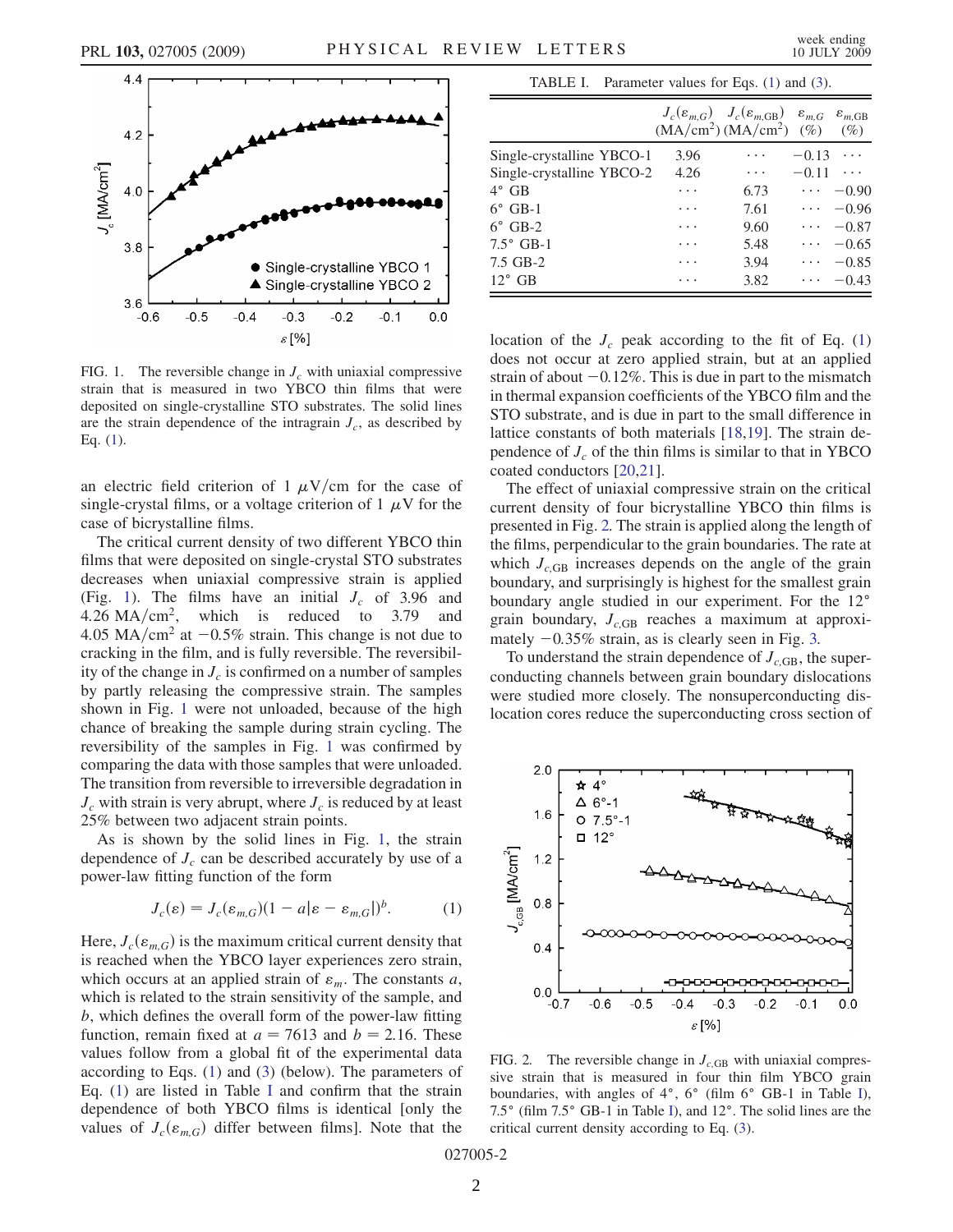<span id="page-3-0"></span>

FIG. 1. The reversible change in  $J_c$  with uniaxial compressive strain that is measured in two YBCO thin films that were deposited on single-crystalline STO substrates. The solid lines are the strain dependence of the intragrain  $J_c$ , as described by Eq. [\(1\)](#page-3-1).

an electric field criterion of 1  $\mu$ V/cm for the case of single-crystal films, or a voltage criterion of 1  $\mu$ V for the case of bicrystalline films.

The critical current density of two different YBCO thin films that were deposited on single-crystal STO substrates decreases when uniaxial compressive strain is applied (Fig. [1](#page-3-0)). The films have an initial  $J_c$  of 3.96 and 4.26 MA/cm<sup>2</sup>, which is reduced to 3.79 and 4.05 MA/cm<sup>2</sup> at  $-0.5\%$  strain. This change is not due to cracking in the film, and is fully reversible. The reversibility of the change in  $J_c$  is confirmed on a number of samples by partly releasing the compressive strain. The samples shown in Fig. [1](#page-3-0) were not unloaded, because of the high chance of breaking the sample during strain cycling. The reversibility of the samples in Fig. [1](#page-3-0) was confirmed by comparing the data with those samples that were unloaded. The transition from reversible to irreversible degradation in  $J_c$  with strain is very abrupt, where  $J_c$  is reduced by at least 25% between two adjacent strain points.

<span id="page-3-1"></span>As is shown by the solid lines in Fig. [1,](#page-3-0) the strain dependence of  $J_c$  can be described accurately by use of a power-law fitting function of the form

$$
J_c(\varepsilon) = J_c(\varepsilon_{m,G})(1 - a|\varepsilon - \varepsilon_{m,G}|)^b.
$$
 (1)

Here,  $J_c(\varepsilon_{m,G})$  is the maximum critical current density that is reached when the YBCO layer experiences zero strain, which occurs at an applied strain of  $\varepsilon_m$ . The constants a, which is related to the strain sensitivity of the sample, and b, which defines the overall form of the power-law fitting function, remain fixed at  $a = 7613$  and  $b = 2.16$ . These values follow from a global fit of the experimental data according to Eqs. ([1](#page-3-1)) and [\(3](#page-4-0)) (below). The parameters of Eq. [\(1](#page-3-1)) are listed in Table [I](#page-3-2) and confirm that the strain dependence of both YBCO films is identical [only the values of  $J_c(\varepsilon_{m,G})$  differ between films]. Note that the

TABLE I. Parameter values for Eqs. ([1](#page-3-1)) and [\(3](#page-4-0)).

<span id="page-3-2"></span>

|                           |      | $J_c(\varepsilon_{m,G})$ $J_c(\varepsilon_{m,GB})$ $\varepsilon_{m,G}$ $\varepsilon_{m,GB}$<br>$(MA/cm^2) (MA/cm^2)$ (%) |                             | $(\%)$   |
|---------------------------|------|--------------------------------------------------------------------------------------------------------------------------|-----------------------------|----------|
| Single-crystalline YBCO-1 | 3.96 | .                                                                                                                        | $-0.13$                     |          |
| Single-crystalline YBCO-2 | 4.26 | $\cdots$                                                                                                                 | $-0.11$                     | $\cdots$ |
| 4° GB                     | .    | 6.73                                                                                                                     | $\cdots$                    | $-0.90$  |
| $6^\circ$ GB-1            |      | 7.61                                                                                                                     | $\sim$ $\sim$ $\sim$ $\sim$ | $-0.96$  |
| $6^\circ$ GB-2            | .    | 9.60                                                                                                                     | $\cdots$                    | $-0.87$  |
| $7.5^\circ$ GB-1          | .    | 5.48                                                                                                                     | .                           | $-0.65$  |
| 7.5 GB-2                  | .    | 3.94                                                                                                                     | .                           | $-0.85$  |
| $12^{\circ}$ GB           |      | 3.82                                                                                                                     | $\cdots$                    | $-0.43$  |

location of the  $J_c$  peak according to the fit of Eq. [\(1\)](#page-3-1) does not occur at zero applied strain, but at an applied strain of about  $-0.12\%$ . This is due in part to the mismatch in thermal expansion coefficients of the YBCO film and the STO substrate, and is due in part to the small difference in lattice constants of both materials [[18](#page-5-17),[19](#page-5-18)]. The strain dependence of  $J_c$  of the thin films is similar to that in YBCO coated conductors [[20](#page-5-19),[21](#page-5-20)].

The effect of uniaxial compressive strain on the critical current density of four bicrystalline YBCO thin films is presented in Fig. [2.](#page-3-3) The strain is applied along the length of the films, perpendicular to the grain boundaries. The rate at which  $J_{c,GB}$  increases depends on the angle of the grain boundary, and surprisingly is highest for the smallest grain boundary angle studied in our experiment. For the 12° grain boundary,  $J_{c,GB}$  reaches a maximum at approximately  $-0.35\%$  strain, as is clearly seen in Fig. [3.](#page-4-1)

To understand the strain dependence of  $J_{c,GB}$ , the superconducting channels between grain boundary dislocations were studied more closely. The nonsuperconducting dislocation cores reduce the superconducting cross section of

<span id="page-3-3"></span>

FIG. 2. The reversible change in  $J_{c,GB}$  with uniaxial compressive strain that is measured in four thin film YBCO grain boundaries, with angles of  $4^\circ$ ,  $6^\circ$  (film  $6^\circ$  GB-1 in Table [I\)](#page-3-2), 7.5° (film 7.5° GB-1 in Table [I\)](#page-3-2), and 12°. The solid lines are the critical current density according to Eq. ([3\)](#page-4-0).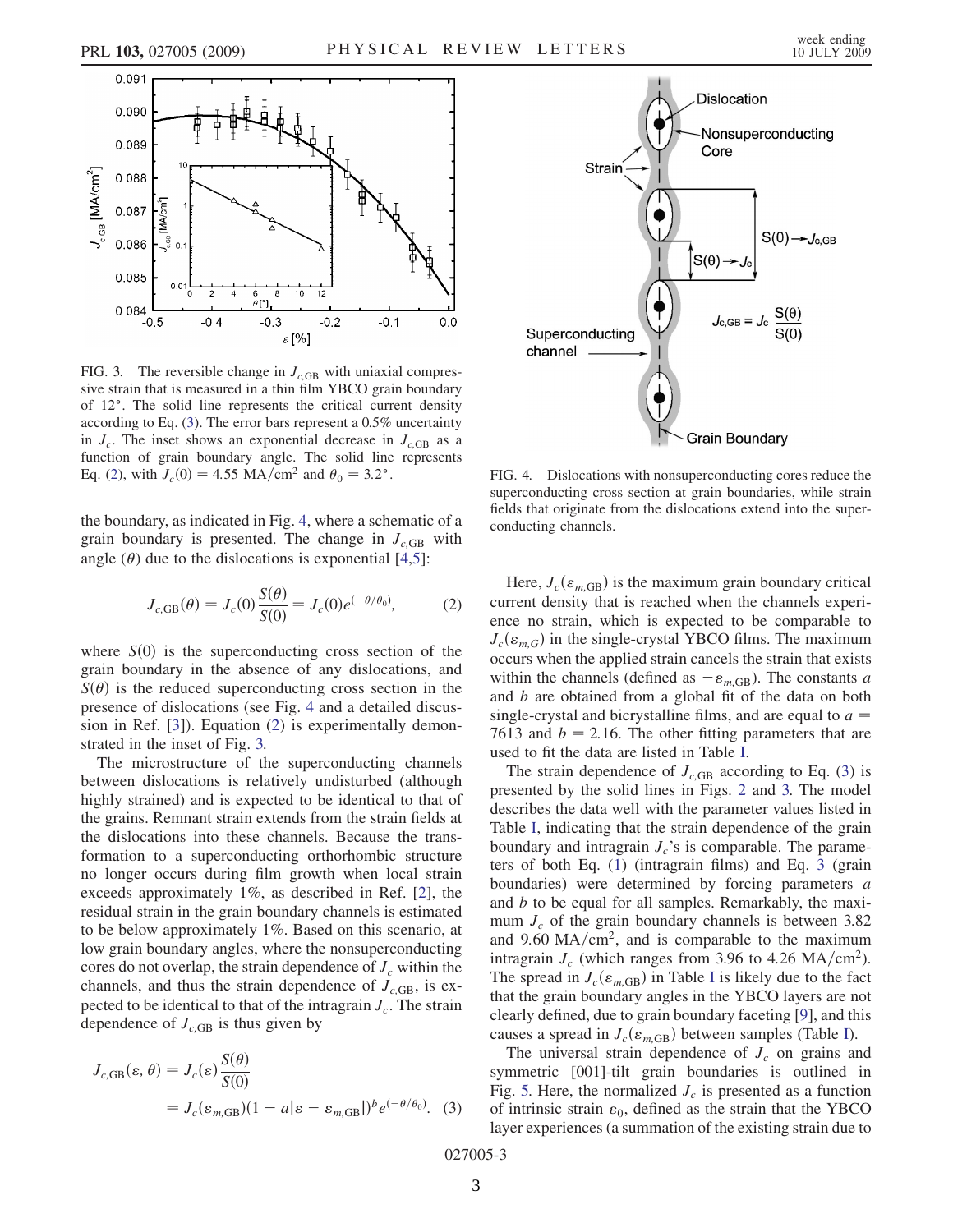<span id="page-4-1"></span>

FIG. 3. The reversible change in  $J<sub>c,GB</sub>$  with uniaxial compressive strain that is measured in a thin film YBCO grain boundary of 12°. The solid line represents the critical current density according to Eq. [\(3\)](#page-4-0). The error bars represent a 0.5% uncertainty in  $J_c$ . The inset shows an exponential decrease in  $J_{c,\text{GB}}$  as a function of grain boundary angle. The solid line represents Eq. [\(2\)](#page-4-3), with  $J_c(0) = 4.55 \text{ MA/cm}^2$  and  $\theta_0 = 3.2^{\circ}$ .

<span id="page-4-3"></span>the boundary, as indicated in Fig. [4](#page-4-2), where a schematic of a grain boundary is presented. The change in  $J_{c,GB}$  with angle  $(\theta)$  due to the dislocations is exponential [\[4](#page-5-3)[,5](#page-5-4)]:

$$
J_{c,GB}(\theta) = J_c(0) \frac{S(\theta)}{S(0)} = J_c(0) e^{(-\theta/\theta_0)},
$$
 (2)

where  $S(0)$  is the superconducting cross section of the grain boundary in the absence of any dislocations, and  $S(\theta)$  is the reduced superconducting cross section in the presence of dislocations (see Fig. [4](#page-4-2) and a detailed discussion in Ref. [[3\]](#page-5-2)). Equation ([2\)](#page-4-3) is experimentally demonstrated in the inset of Fig. [3.](#page-4-1)

The microstructure of the superconducting channels between dislocations is relatively undisturbed (although highly strained) and is expected to be identical to that of the grains. Remnant strain extends from the strain fields at the dislocations into these channels. Because the transformation to a superconducting orthorhombic structure no longer occurs during film growth when local strain exceeds approximately 1%, as described in Ref. [[2](#page-5-13)], the residual strain in the grain boundary channels is estimated to be below approximately 1%. Based on this scenario, at low grain boundary angles, where the nonsuperconducting cores do not overlap, the strain dependence of  $J_c$  within the channels, and thus the strain dependence of  $J_{c,GB}$ , is expected to be identical to that of the intragrain  $J_c$ . The strain dependence of  $J_{c,\text{GB}}$  is thus given by

<span id="page-4-0"></span>
$$
J_{c,GB}(\varepsilon,\theta) = J_c(\varepsilon) \frac{S(\theta)}{S(0)}
$$
  
=  $J_c(\varepsilon_{m,GB})(1 - a|\varepsilon - \varepsilon_{m,GB}|)^b e^{(-\theta/\theta_0)}$ . (3)

<span id="page-4-2"></span>

FIG. 4. Dislocations with nonsuperconducting cores reduce the superconducting cross section at grain boundaries, while strain fields that originate from the dislocations extend into the superconducting channels.

Here,  $J_c(\varepsilon_{m,GB})$  is the maximum grain boundary critical current density that is reached when the channels experience no strain, which is expected to be comparable to  $J_c(\varepsilon_{m,G})$  in the single-crystal YBCO films. The maximum occurs when the applied strain cancels the strain that exists within the channels (defined as  $-\varepsilon_{m,GB}$ ). The constants a and b are obtained from a global fit of the data on both single-crystal and bicrystalline films, and are equal to  $a =$ 7613 and  $b = 2.16$ . The other fitting parameters that are used to fit the data are listed in Table [I](#page-3-2).

The strain dependence of  $J_{c,GB}$  according to Eq. ([3\)](#page-4-0) is presented by the solid lines in Figs. [2](#page-3-3) and [3.](#page-4-1) The model describes the data well with the parameter values listed in Table [I,](#page-3-2) indicating that the strain dependence of the grain boundary and intragrain  $J_c$ 's is comparable. The parameters of both Eq. [\(1\)](#page-3-1) (intragrain films) and Eq. [3](#page-4-1) (grain boundaries) were determined by forcing parameters a and b to be equal for all samples. Remarkably, the maximum  $J_c$  of the grain boundary channels is between 3.82 and 9.60  $MA/cm<sup>2</sup>$ , and is comparable to the maximum intragrain  $J_c$  (which ranges from 3.96 to 4.26 MA/cm<sup>2</sup>). The spread in  $J_c(\varepsilon_{m,\text{GB}})$  in Table [I](#page-3-2) is likely due to the fact that the grain boundary angles in the YBCO layers are not clearly defined, due to grain boundary faceting [\[9](#page-5-8)], and this causes a spread in  $J_c(\varepsilon_{m,\text{GB}})$  between samples (Table [I\)](#page-3-2).

The universal strain dependence of  $J_c$  on grains and symmetric [001]-tilt grain boundaries is outlined in Fig. [5.](#page-5-21) Here, the normalized  $J_c$  is presented as a function of intrinsic strain  $\varepsilon_0$ , defined as the strain that the YBCO layer experiences (a summation of the existing strain due to